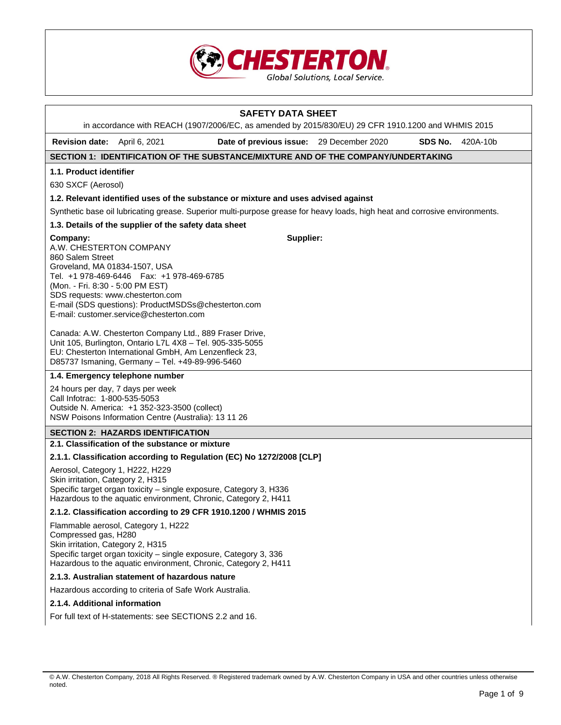

|                                                                                                                              |                                                                                                                                                                                                                                  | <b>SAFETY DATA SHEET</b><br>in accordance with REACH (1907/2006/EC, as amended by 2015/830/EU) 29 CFR 1910.1200 and WHMIS 2015 |         |          |
|------------------------------------------------------------------------------------------------------------------------------|----------------------------------------------------------------------------------------------------------------------------------------------------------------------------------------------------------------------------------|--------------------------------------------------------------------------------------------------------------------------------|---------|----------|
| <b>Revision date:</b>                                                                                                        | April 6, 2021                                                                                                                                                                                                                    | Date of previous issue: 29 December 2020                                                                                       | SDS No. | 420A-10b |
|                                                                                                                              |                                                                                                                                                                                                                                  | SECTION 1: IDENTIFICATION OF THE SUBSTANCE/MIXTURE AND OF THE COMPANY/UNDERTAKING                                              |         |          |
|                                                                                                                              |                                                                                                                                                                                                                                  |                                                                                                                                |         |          |
| 1.1. Product identifier                                                                                                      |                                                                                                                                                                                                                                  |                                                                                                                                |         |          |
| 630 SXCF (Aerosol)                                                                                                           |                                                                                                                                                                                                                                  |                                                                                                                                |         |          |
|                                                                                                                              |                                                                                                                                                                                                                                  | 1.2. Relevant identified uses of the substance or mixture and uses advised against                                             |         |          |
|                                                                                                                              |                                                                                                                                                                                                                                  | Synthetic base oil lubricating grease. Superior multi-purpose grease for heavy loads, high heat and corrosive environments.    |         |          |
|                                                                                                                              | 1.3. Details of the supplier of the safety data sheet                                                                                                                                                                            |                                                                                                                                |         |          |
| Company:<br>A.W. CHESTERTON COMPANY<br>860 Salem Street<br>Groveland, MA 01834-1507, USA<br>(Mon. - Fri. 8:30 - 5:00 PM EST) | Tel. +1 978-469-6446    Fax: +1 978-469-6785<br>SDS requests: www.chesterton.com<br>E-mail (SDS questions): ProductMSDSs@chesterton.com<br>E-mail: customer.service@chesterton.com                                               | Supplier:                                                                                                                      |         |          |
|                                                                                                                              | Canada: A.W. Chesterton Company Ltd., 889 Fraser Drive,<br>Unit 105, Burlington, Ontario L7L 4X8 - Tel. 905-335-5055<br>EU: Chesterton International GmbH, Am Lenzenfleck 23,<br>D85737 Ismaning, Germany - Tel. +49-89-996-5460 |                                                                                                                                |         |          |
|                                                                                                                              | 1.4. Emergency telephone number                                                                                                                                                                                                  |                                                                                                                                |         |          |
| 24 hours per day, 7 days per week<br>Call Infotrac: 1-800-535-5053                                                           | Outside N. America: +1 352-323-3500 (collect)<br>NSW Poisons Information Centre (Australia): 13 11 26                                                                                                                            |                                                                                                                                |         |          |
|                                                                                                                              | <b>SECTION 2: HAZARDS IDENTIFICATION</b>                                                                                                                                                                                         |                                                                                                                                |         |          |
|                                                                                                                              | 2.1. Classification of the substance or mixture                                                                                                                                                                                  |                                                                                                                                |         |          |
|                                                                                                                              |                                                                                                                                                                                                                                  | 2.1.1. Classification according to Regulation (EC) No 1272/2008 [CLP]                                                          |         |          |
| Aerosol, Category 1, H222, H229<br>Skin irritation, Category 2, H315                                                         | Specific target organ toxicity - single exposure, Category 3, H336<br>Hazardous to the aquatic environment, Chronic, Category 2, H411                                                                                            |                                                                                                                                |         |          |
|                                                                                                                              |                                                                                                                                                                                                                                  | 2.1.2. Classification according to 29 CFR 1910.1200 / WHMIS 2015                                                               |         |          |
| Compressed gas, H280<br>Skin irritation, Category 2, H315                                                                    | Flammable aerosol, Category 1, H222<br>Specific target organ toxicity - single exposure, Category 3, 336<br>Hazardous to the aquatic environment, Chronic, Category 2, H411                                                      |                                                                                                                                |         |          |
|                                                                                                                              | 2.1.3. Australian statement of hazardous nature                                                                                                                                                                                  |                                                                                                                                |         |          |
|                                                                                                                              | Hazardous according to criteria of Safe Work Australia.                                                                                                                                                                          |                                                                                                                                |         |          |
| 2.1.4. Additional information                                                                                                |                                                                                                                                                                                                                                  |                                                                                                                                |         |          |
|                                                                                                                              | For full text of H-statements: see SECTIONS 2.2 and 16.                                                                                                                                                                          |                                                                                                                                |         |          |

 $\mathbf{I}$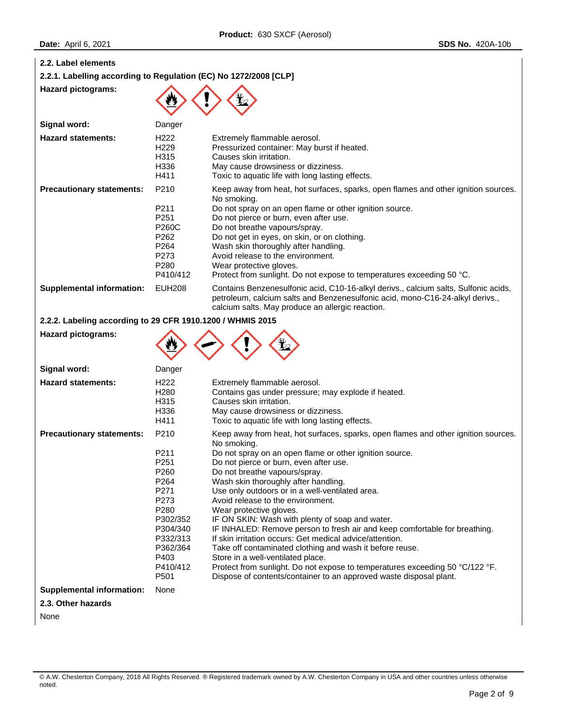| .                                                                |                                                                                                                                          |                                                                                                                                                                                                                                                                                                                                                                                                                                                                                                                                                                                                                                                                                                                                                                                                                                                        |
|------------------------------------------------------------------|------------------------------------------------------------------------------------------------------------------------------------------|--------------------------------------------------------------------------------------------------------------------------------------------------------------------------------------------------------------------------------------------------------------------------------------------------------------------------------------------------------------------------------------------------------------------------------------------------------------------------------------------------------------------------------------------------------------------------------------------------------------------------------------------------------------------------------------------------------------------------------------------------------------------------------------------------------------------------------------------------------|
| 2.2. Label elements                                              |                                                                                                                                          |                                                                                                                                                                                                                                                                                                                                                                                                                                                                                                                                                                                                                                                                                                                                                                                                                                                        |
| 2.2.1. Labelling according to Regulation (EC) No 1272/2008 [CLP] |                                                                                                                                          |                                                                                                                                                                                                                                                                                                                                                                                                                                                                                                                                                                                                                                                                                                                                                                                                                                                        |
| <b>Hazard pictograms:</b>                                        |                                                                                                                                          |                                                                                                                                                                                                                                                                                                                                                                                                                                                                                                                                                                                                                                                                                                                                                                                                                                                        |
| Signal word:                                                     | Danger                                                                                                                                   |                                                                                                                                                                                                                                                                                                                                                                                                                                                                                                                                                                                                                                                                                                                                                                                                                                                        |
| <b>Hazard statements:</b>                                        | H222<br>H229<br>H315<br>H336<br>H411                                                                                                     | Extremely flammable aerosol.<br>Pressurized container: May burst if heated.<br>Causes skin irritation.<br>May cause drowsiness or dizziness.<br>Toxic to aquatic life with long lasting effects.                                                                                                                                                                                                                                                                                                                                                                                                                                                                                                                                                                                                                                                       |
| <b>Precautionary statements:</b>                                 | P210<br>P211<br>P251<br><b>P260C</b><br>P262<br>P264<br>P273<br>P280<br>P410/412                                                         | Keep away from heat, hot surfaces, sparks, open flames and other ignition sources.<br>No smoking.<br>Do not spray on an open flame or other ignition source.<br>Do not pierce or burn, even after use.<br>Do not breathe vapours/spray.<br>Do not get in eyes, on skin, or on clothing.<br>Wash skin thoroughly after handling.<br>Avoid release to the environment.<br>Wear protective gloves.<br>Protect from sunlight. Do not expose to temperatures exceeding 50 °C.                                                                                                                                                                                                                                                                                                                                                                               |
| <b>Supplemental information:</b>                                 | <b>EUH208</b>                                                                                                                            | Contains Benzenesulfonic acid, C10-16-alkyl derivs., calcium salts, Sulfonic acids,<br>petroleum, calcium salts and Benzenesulfonic acid, mono-C16-24-alkyl derivs.,<br>calcium salts. May produce an allergic reaction.                                                                                                                                                                                                                                                                                                                                                                                                                                                                                                                                                                                                                               |
| 2.2.2. Labeling according to 29 CFR 1910.1200 / WHMIS 2015       |                                                                                                                                          |                                                                                                                                                                                                                                                                                                                                                                                                                                                                                                                                                                                                                                                                                                                                                                                                                                                        |
| <b>Hazard pictograms:</b>                                        |                                                                                                                                          |                                                                                                                                                                                                                                                                                                                                                                                                                                                                                                                                                                                                                                                                                                                                                                                                                                                        |
| Signal word:                                                     | Danger                                                                                                                                   |                                                                                                                                                                                                                                                                                                                                                                                                                                                                                                                                                                                                                                                                                                                                                                                                                                                        |
| <b>Hazard statements:</b>                                        | H <sub>222</sub><br>H <sub>280</sub><br>H315<br>H336<br>H411                                                                             | Extremely flammable aerosol.<br>Contains gas under pressure; may explode if heated.<br>Causes skin irritation.<br>May cause drowsiness or dizziness.<br>Toxic to aquatic life with long lasting effects.                                                                                                                                                                                                                                                                                                                                                                                                                                                                                                                                                                                                                                               |
| <b>Precautionary statements:</b>                                 | P210<br>P211<br>P251<br>P260<br>P264<br>P271<br>P273<br>P280<br>P302/352<br>P304/340<br>P332/313<br>P362/364<br>P403<br>P410/412<br>P501 | Keep away from heat, hot surfaces, sparks, open flames and other ignition sources.<br>No smoking.<br>Do not spray on an open flame or other ignition source.<br>Do not pierce or burn, even after use.<br>Do not breathe vapours/spray.<br>Wash skin thoroughly after handling.<br>Use only outdoors or in a well-ventilated area.<br>Avoid release to the environment.<br>Wear protective gloves.<br>IF ON SKIN: Wash with plenty of soap and water.<br>IF INHALED: Remove person to fresh air and keep comfortable for breathing.<br>If skin irritation occurs: Get medical advice/attention.<br>Take off contaminated clothing and wash it before reuse.<br>Store in a well-ventilated place.<br>Protect from sunlight. Do not expose to temperatures exceeding 50 °C/122 °F.<br>Dispose of contents/container to an approved waste disposal plant. |
| <b>Supplemental information:</b>                                 | None                                                                                                                                     |                                                                                                                                                                                                                                                                                                                                                                                                                                                                                                                                                                                                                                                                                                                                                                                                                                                        |
| 2.3. Other hazards                                               |                                                                                                                                          |                                                                                                                                                                                                                                                                                                                                                                                                                                                                                                                                                                                                                                                                                                                                                                                                                                                        |

None

<sup>©</sup> A.W. Chesterton Company, 2018 All Rights Reserved. ® Registered trademark owned by A.W. Chesterton Company in USA and other countries unless otherwise noted.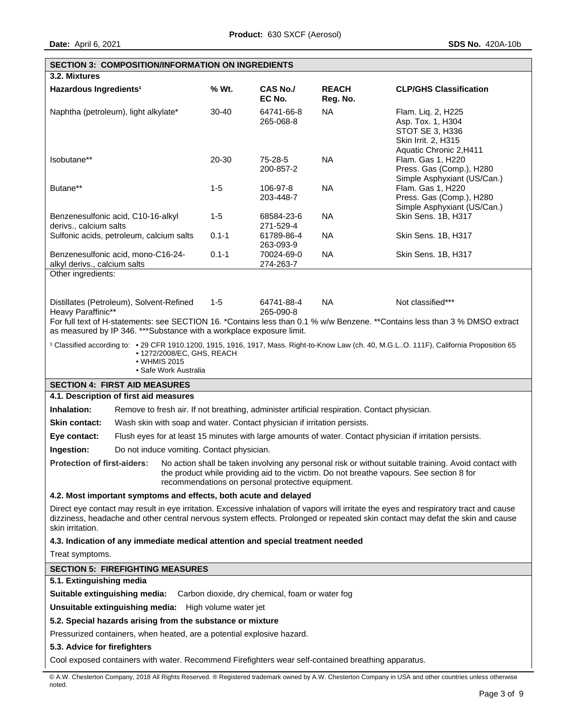|                                                                                                                                                                                                                                                                                             | <b>SECTION 3: COMPOSITION/INFORMATION ON INGREDIENTS</b>                                                                                                                                                                                                                           |           |                           |                          |                                                                                                                                                  |  |
|---------------------------------------------------------------------------------------------------------------------------------------------------------------------------------------------------------------------------------------------------------------------------------------------|------------------------------------------------------------------------------------------------------------------------------------------------------------------------------------------------------------------------------------------------------------------------------------|-----------|---------------------------|--------------------------|--------------------------------------------------------------------------------------------------------------------------------------------------|--|
| 3.2. Mixtures                                                                                                                                                                                                                                                                               |                                                                                                                                                                                                                                                                                    |           |                           |                          |                                                                                                                                                  |  |
| Hazardous Ingredients <sup>1</sup>                                                                                                                                                                                                                                                          |                                                                                                                                                                                                                                                                                    | % Wt.     | <b>CAS No./</b><br>EC No. | <b>REACH</b><br>Reg. No. | <b>CLP/GHS Classification</b>                                                                                                                    |  |
|                                                                                                                                                                                                                                                                                             | Naphtha (petroleum), light alkylate*                                                                                                                                                                                                                                               | $30 - 40$ | 64741-66-8<br>265-068-8   | <b>NA</b>                | Flam. Liq. 2, H225<br>Asp. Tox. 1, H304<br>STOT SE 3, H336<br>Skin Irrit. 2, H315<br>Aquatic Chronic 2, H411                                     |  |
| Isobutane**                                                                                                                                                                                                                                                                                 |                                                                                                                                                                                                                                                                                    | 20-30     | 75-28-5<br>200-857-2      | <b>NA</b>                | Flam. Gas 1, H220<br>Press. Gas (Comp.), H280<br>Simple Asphyxiant (US/Can.)                                                                     |  |
| Butane**                                                                                                                                                                                                                                                                                    |                                                                                                                                                                                                                                                                                    | $1-5$     | 106-97-8<br>203-448-7     | <b>NA</b>                | Flam. Gas 1, H220<br>Press. Gas (Comp.), H280<br>Simple Asphyxiant (US/Can.)                                                                     |  |
| derivs., calcium salts                                                                                                                                                                                                                                                                      | Benzenesulfonic acid, C10-16-alkyl                                                                                                                                                                                                                                                 | $1-5$     | 68584-23-6<br>271-529-4   | <b>NA</b>                | Skin Sens. 1B, H317                                                                                                                              |  |
|                                                                                                                                                                                                                                                                                             | Sulfonic acids, petroleum, calcium salts                                                                                                                                                                                                                                           | $0.1 - 1$ | 61789-86-4<br>263-093-9   | <b>NA</b>                | Skin Sens. 1B, H317                                                                                                                              |  |
| alkyl derivs., calcium salts                                                                                                                                                                                                                                                                | Benzenesulfonic acid, mono-C16-24-                                                                                                                                                                                                                                                 | $0.1 - 1$ | 70024-69-0<br>274-263-7   | <b>NA</b>                | Skin Sens. 1B, H317                                                                                                                              |  |
| Other ingredients:                                                                                                                                                                                                                                                                          |                                                                                                                                                                                                                                                                                    |           |                           |                          |                                                                                                                                                  |  |
| Heavy Paraffinic**                                                                                                                                                                                                                                                                          | Distillates (Petroleum), Solvent-Refined                                                                                                                                                                                                                                           | $1 - 5$   | 64741-88-4<br>265-090-8   | <b>NA</b>                | Not classified***<br>For full text of H-statements: see SECTION 16. *Contains less than 0.1 % w/w Benzene. **Contains less than 3 % DMSO extract |  |
|                                                                                                                                                                                                                                                                                             | as measured by IP 346. *** Substance with a workplace exposure limit.                                                                                                                                                                                                              |           |                           |                          |                                                                                                                                                  |  |
|                                                                                                                                                                                                                                                                                             | <sup>1</sup> Classified according to: • 29 CFR 1910.1200, 1915, 1916, 1917, Mass. Right-to-Know Law (ch. 40, M.G.LO. 111F), California Proposition 65<br>• 1272/2008/EC, GHS, REACH<br>• WHMIS 2015                                                                                |           |                           |                          |                                                                                                                                                  |  |
|                                                                                                                                                                                                                                                                                             | • Safe Work Australia                                                                                                                                                                                                                                                              |           |                           |                          |                                                                                                                                                  |  |
|                                                                                                                                                                                                                                                                                             | <b>SECTION 4: FIRST AID MEASURES</b><br>4.1. Description of first aid measures                                                                                                                                                                                                     |           |                           |                          |                                                                                                                                                  |  |
| Inhalation:                                                                                                                                                                                                                                                                                 |                                                                                                                                                                                                                                                                                    |           |                           |                          |                                                                                                                                                  |  |
| Skin contact:                                                                                                                                                                                                                                                                               | Remove to fresh air. If not breathing, administer artificial respiration. Contact physician.<br>Wash skin with soap and water. Contact physician if irritation persists.                                                                                                           |           |                           |                          |                                                                                                                                                  |  |
|                                                                                                                                                                                                                                                                                             |                                                                                                                                                                                                                                                                                    |           |                           |                          |                                                                                                                                                  |  |
|                                                                                                                                                                                                                                                                                             | Flush eyes for at least 15 minutes with large amounts of water. Contact physician if irritation persists.<br>Eye contact:                                                                                                                                                          |           |                           |                          |                                                                                                                                                  |  |
| Ingestion:                                                                                                                                                                                                                                                                                  | Do not induce vomiting. Contact physician.                                                                                                                                                                                                                                         |           |                           |                          |                                                                                                                                                  |  |
|                                                                                                                                                                                                                                                                                             | Protection of first-aiders: No action shall be taken involving any personal risk or without suitable training. Avoid contact with<br>the product while providing aid to the victim. Do not breathe vapours. See section 8 for<br>recommendations on personal protective equipment. |           |                           |                          |                                                                                                                                                  |  |
| 4.2. Most important symptoms and effects, both acute and delayed                                                                                                                                                                                                                            |                                                                                                                                                                                                                                                                                    |           |                           |                          |                                                                                                                                                  |  |
| Direct eye contact may result in eye irritation. Excessive inhalation of vapors will irritate the eyes and respiratory tract and cause<br>dizziness, headache and other central nervous system effects. Prolonged or repeated skin contact may defat the skin and cause<br>skin irritation. |                                                                                                                                                                                                                                                                                    |           |                           |                          |                                                                                                                                                  |  |
| 4.3. Indication of any immediate medical attention and special treatment needed                                                                                                                                                                                                             |                                                                                                                                                                                                                                                                                    |           |                           |                          |                                                                                                                                                  |  |
| Treat symptoms.                                                                                                                                                                                                                                                                             |                                                                                                                                                                                                                                                                                    |           |                           |                          |                                                                                                                                                  |  |
| <b>SECTION 5: FIREFIGHTING MEASURES</b>                                                                                                                                                                                                                                                     |                                                                                                                                                                                                                                                                                    |           |                           |                          |                                                                                                                                                  |  |
| 5.1. Extinguishing media                                                                                                                                                                                                                                                                    |                                                                                                                                                                                                                                                                                    |           |                           |                          |                                                                                                                                                  |  |
| Suitable extinguishing media:<br>Carbon dioxide, dry chemical, foam or water fog                                                                                                                                                                                                            |                                                                                                                                                                                                                                                                                    |           |                           |                          |                                                                                                                                                  |  |
| <b>Unsuitable extinguishing media:</b> High volume water jet                                                                                                                                                                                                                                |                                                                                                                                                                                                                                                                                    |           |                           |                          |                                                                                                                                                  |  |
| 5.2. Special hazards arising from the substance or mixture                                                                                                                                                                                                                                  |                                                                                                                                                                                                                                                                                    |           |                           |                          |                                                                                                                                                  |  |
|                                                                                                                                                                                                                                                                                             | Pressurized containers, when heated, are a potential explosive hazard.                                                                                                                                                                                                             |           |                           |                          |                                                                                                                                                  |  |
| 5.3. Advice for firefighters                                                                                                                                                                                                                                                                |                                                                                                                                                                                                                                                                                    |           |                           |                          |                                                                                                                                                  |  |
| Cool exposed containers with water. Recommend Firefighters wear self-contained breathing apparatus.                                                                                                                                                                                         |                                                                                                                                                                                                                                                                                    |           |                           |                          |                                                                                                                                                  |  |

<sup>©</sup> A.W. Chesterton Company, 2018 All Rights Reserved. ® Registered trademark owned by A.W. Chesterton Company in USA and other countries unless otherwise noted.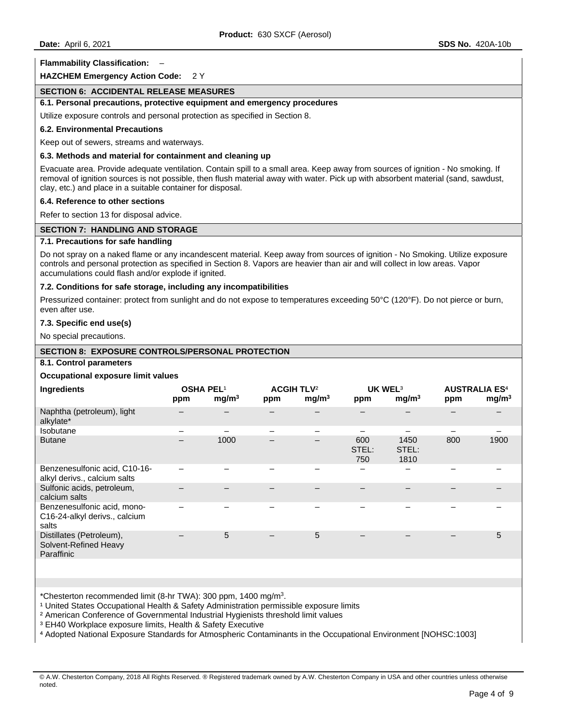## **Flammability Classification:** –

## **HAZCHEM Emergency Action Code:** 2 Y

## **SECTION 6: ACCIDENTAL RELEASE MEASURES**

## **6.1. Personal precautions, protective equipment and emergency procedures**

Utilize exposure controls and personal protection as specified in Section 8.

#### **6.2. Environmental Precautions**

Keep out of sewers, streams and waterways.

# **6.3. Methods and material for containment and cleaning up**

Evacuate area. Provide adequate ventilation. Contain spill to a small area. Keep away from sources of ignition - No smoking. If removal of ignition sources is not possible, then flush material away with water. Pick up with absorbent material (sand, sawdust, clay, etc.) and place in a suitable container for disposal.

## **6.4. Reference to other sections**

Refer to section 13 for disposal advice.

#### **SECTION 7: HANDLING AND STORAGE**

## **7.1. Precautions for safe handling**

Do not spray on a naked flame or any incandescent material. Keep away from sources of ignition - No Smoking. Utilize exposure controls and personal protection as specified in Section 8. Vapors are heavier than air and will collect in low areas. Vapor accumulations could flash and/or explode if ignited.

## **7.2. Conditions for safe storage, including any incompatibilities**

Pressurized container: protect from sunlight and do not expose to temperatures exceeding 50°C (120°F). Do not pierce or burn, even after use.

#### **7.3. Specific end use(s)**

No special precautions.

## **SECTION 8: EXPOSURE CONTROLS/PERSONAL PROTECTION**

# **8.1. Control parameters**

#### **Occupational exposure limit values**

| Ingredients                                                           | ppm | OSHA PEL <sup>1</sup><br>mg/m <sup>3</sup> | ppm | <b>ACGIH TLV<sup>2</sup></b><br>mg/m <sup>3</sup> | ppm                      | UK WEL <sup>3</sup><br>mg/m <sup>3</sup> | ppm | <b>AUSTRALIA ES<sup>4</sup></b><br>mg/m <sup>3</sup> |
|-----------------------------------------------------------------------|-----|--------------------------------------------|-----|---------------------------------------------------|--------------------------|------------------------------------------|-----|------------------------------------------------------|
| Naphtha (petroleum), light<br>alkylate*                               |     |                                            |     |                                                   |                          |                                          |     |                                                      |
| <b>Isobutane</b>                                                      |     |                                            | —   |                                                   |                          |                                          |     |                                                      |
| <b>Butane</b>                                                         | -   | 1000                                       |     |                                                   | 600<br>STEL:<br>750      | 1450<br>STEL:<br>1810                    | 800 | 1900                                                 |
| Benzenesulfonic acid, C10-16-<br>alkyl derivs., calcium salts         |     |                                            |     |                                                   | $\overline{\phantom{0}}$ | $\overline{\phantom{0}}$                 |     |                                                      |
| Sulfonic acids, petroleum,<br>calcium salts                           |     |                                            |     |                                                   |                          |                                          |     |                                                      |
| Benzenesulfonic acid, mono-<br>C16-24-alkyl derivs., calcium<br>salts |     |                                            |     |                                                   |                          |                                          |     |                                                      |
| Distillates (Petroleum),<br>Solvent-Refined Heavy<br>Paraffinic       |     | 5                                          |     | 5                                                 |                          |                                          |     | 5                                                    |

\*Chesterton recommended limit (8-hr TWA): 300 ppm, 1400 mg/m3.

<sup>1</sup> United States Occupational Health & Safety Administration permissible exposure limits

<sup>2</sup> American Conference of Governmental Industrial Hygienists threshold limit values

<sup>3</sup> EH40 Workplace exposure limits, Health & Safety Executive

⁴ Adopted National Exposure Standards for Atmospheric Contaminants in the Occupational Environment [NOHSC:1003]

<sup>©</sup> A.W. Chesterton Company, 2018 All Rights Reserved. ® Registered trademark owned by A.W. Chesterton Company in USA and other countries unless otherwise noted.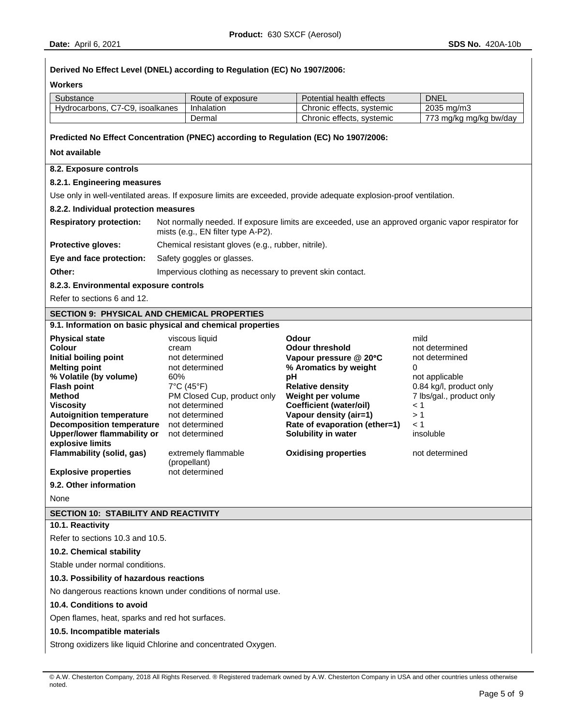| Derived No Effect Level (DNEL) according to Regulation (EC) No 1907/2006: |                              |                                                           |                                                                                                                   |                                      |  |  |
|---------------------------------------------------------------------------|------------------------------|-----------------------------------------------------------|-------------------------------------------------------------------------------------------------------------------|--------------------------------------|--|--|
| Workers                                                                   |                              |                                                           |                                                                                                                   |                                      |  |  |
| Substance                                                                 |                              | Route of exposure                                         | Potential health effects                                                                                          | <b>DNEL</b>                          |  |  |
| Hydrocarbons, C7-C9, isoalkanes                                           |                              | Inhalation                                                | Chronic effects, systemic                                                                                         | 2035 mg/m3                           |  |  |
|                                                                           |                              | Dermal                                                    | Chronic effects, systemic                                                                                         | 773 mg/kg mg/kg bw/day               |  |  |
|                                                                           |                              |                                                           | Predicted No Effect Concentration (PNEC) according to Regulation (EC) No 1907/2006:                               |                                      |  |  |
| Not available                                                             |                              |                                                           |                                                                                                                   |                                      |  |  |
| 8.2. Exposure controls                                                    |                              |                                                           |                                                                                                                   |                                      |  |  |
| 8.2.1. Engineering measures                                               |                              |                                                           |                                                                                                                   |                                      |  |  |
|                                                                           |                              |                                                           | Use only in well-ventilated areas. If exposure limits are exceeded, provide adequate explosion-proof ventilation. |                                      |  |  |
| 8.2.2. Individual protection measures                                     |                              |                                                           |                                                                                                                   |                                      |  |  |
| <b>Respiratory protection:</b>                                            |                              | mists (e.g., EN filter type A-P2).                        | Not normally needed. If exposure limits are exceeded, use an approved organic vapor respirator for                |                                      |  |  |
| Protective gloves:                                                        |                              | Chemical resistant gloves (e.g., rubber, nitrile).        |                                                                                                                   |                                      |  |  |
| Eye and face protection:                                                  |                              | Safety goggles or glasses.                                |                                                                                                                   |                                      |  |  |
| Other:                                                                    |                              | Impervious clothing as necessary to prevent skin contact. |                                                                                                                   |                                      |  |  |
| 8.2.3. Environmental exposure controls                                    |                              |                                                           |                                                                                                                   |                                      |  |  |
| Refer to sections 6 and 12.                                               |                              |                                                           |                                                                                                                   |                                      |  |  |
| <b>SECTION 9: PHYSICAL AND CHEMICAL PROPERTIES</b>                        |                              |                                                           |                                                                                                                   |                                      |  |  |
| 9.1. Information on basic physical and chemical properties                |                              |                                                           |                                                                                                                   |                                      |  |  |
| <b>Physical state</b>                                                     |                              | viscous liquid                                            | Odour                                                                                                             | mild                                 |  |  |
| Colour<br>Initial boiling point                                           | cream                        | not determined                                            | <b>Odour threshold</b><br>Vapour pressure @ 20°C                                                                  | not determined<br>not determined     |  |  |
| <b>Melting point</b>                                                      |                              | not determined                                            | % Aromatics by weight                                                                                             | 0                                    |  |  |
| % Volatile (by volume)                                                    | 60%                          |                                                           | pH                                                                                                                | not applicable                       |  |  |
| <b>Flash point</b>                                                        |                              | $7^{\circ}$ C (45 $^{\circ}$ F)                           | <b>Relative density</b>                                                                                           | 0.84 kg/l, product only              |  |  |
| <b>Method</b><br><b>Viscosity</b>                                         |                              | PM Closed Cup, product only<br>not determined             | Weight per volume<br><b>Coefficient (water/oil)</b>                                                               | 7 lbs/gal., product only<br>$\leq 1$ |  |  |
| <b>Autoignition temperature</b>                                           |                              | not determined                                            | Vapour density (air=1)                                                                                            | >1                                   |  |  |
| <b>Decomposition temperature</b>                                          |                              | not determined                                            | Rate of evaporation (ether=1)                                                                                     | $\leq 1$                             |  |  |
| <b>Upper/lower flammability or</b>                                        |                              | not determined                                            | Solubility in water                                                                                               | insoluble                            |  |  |
| explosive limits<br><b>Flammability (solid, gas)</b>                      |                              | extremely flammable                                       | <b>Oxidising properties</b>                                                                                       | not determined                       |  |  |
|                                                                           |                              | (propellant)                                              |                                                                                                                   |                                      |  |  |
| <b>Explosive properties</b>                                               |                              | not determined                                            |                                                                                                                   |                                      |  |  |
| 9.2. Other information                                                    |                              |                                                           |                                                                                                                   |                                      |  |  |
| None                                                                      |                              |                                                           |                                                                                                                   |                                      |  |  |
| <b>SECTION 10: STABILITY AND REACTIVITY</b>                               |                              |                                                           |                                                                                                                   |                                      |  |  |
| 10.1. Reactivity                                                          |                              |                                                           |                                                                                                                   |                                      |  |  |
| Refer to sections 10.3 and 10.5.                                          |                              |                                                           |                                                                                                                   |                                      |  |  |
| 10.2. Chemical stability                                                  |                              |                                                           |                                                                                                                   |                                      |  |  |
| Stable under normal conditions.                                           |                              |                                                           |                                                                                                                   |                                      |  |  |
| 10.3. Possibility of hazardous reactions                                  |                              |                                                           |                                                                                                                   |                                      |  |  |
| No dangerous reactions known under conditions of normal use.              |                              |                                                           |                                                                                                                   |                                      |  |  |
| 10.4. Conditions to avoid                                                 |                              |                                                           |                                                                                                                   |                                      |  |  |
| Open flames, heat, sparks and red hot surfaces.                           |                              |                                                           |                                                                                                                   |                                      |  |  |
|                                                                           | 10.5. Incompatible materials |                                                           |                                                                                                                   |                                      |  |  |
| Strong oxidizers like liquid Chlorine and concentrated Oxygen.            |                              |                                                           |                                                                                                                   |                                      |  |  |
|                                                                           |                              |                                                           |                                                                                                                   |                                      |  |  |

<sup>©</sup> A.W. Chesterton Company, 2018 All Rights Reserved. ® Registered trademark owned by A.W. Chesterton Company in USA and other countries unless otherwise noted.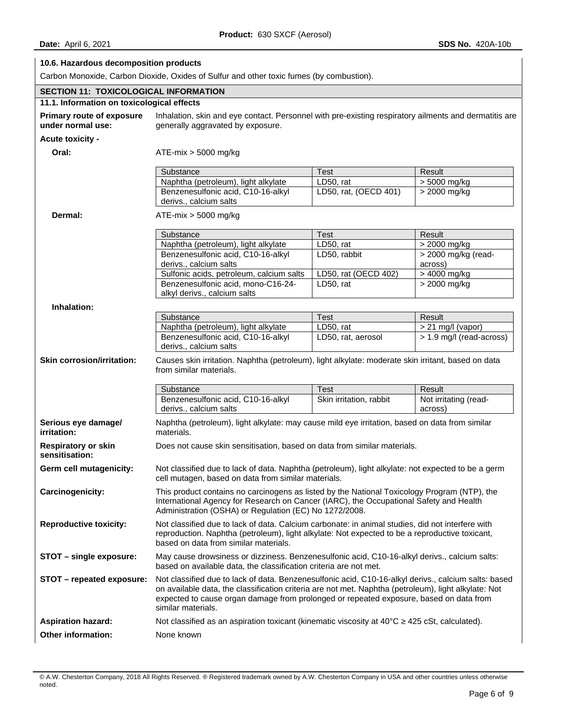# **10.6. Hazardous decomposition products**

Carbon Monoxide, Carbon Dioxide, Oxides of Sulfur and other toxic fumes (by combustion).

| <b>SECTION 11: TOXICOLOGICAL INFORMATION</b>          |                                                                                                                                                                                                                                                                                                                              |                         |                                  |  |
|-------------------------------------------------------|------------------------------------------------------------------------------------------------------------------------------------------------------------------------------------------------------------------------------------------------------------------------------------------------------------------------------|-------------------------|----------------------------------|--|
| 11.1. Information on toxicological effects            |                                                                                                                                                                                                                                                                                                                              |                         |                                  |  |
| <b>Primary route of exposure</b><br>under normal use: | Inhalation, skin and eye contact. Personnel with pre-existing respiratory ailments and dermatitis are<br>generally aggravated by exposure.                                                                                                                                                                                   |                         |                                  |  |
| Acute toxicity -                                      |                                                                                                                                                                                                                                                                                                                              |                         |                                  |  |
| Oral:                                                 | $ATE-mix > 5000$ mg/kg                                                                                                                                                                                                                                                                                                       |                         |                                  |  |
|                                                       | Substance                                                                                                                                                                                                                                                                                                                    | Test                    | Result                           |  |
|                                                       | Naphtha (petroleum), light alkylate                                                                                                                                                                                                                                                                                          | LD50, rat               | > 5000 mg/kg                     |  |
|                                                       | Benzenesulfonic acid, C10-16-alkyl                                                                                                                                                                                                                                                                                           | LD50, rat, (OECD 401)   | > 2000 mg/kg                     |  |
|                                                       | derivs., calcium salts                                                                                                                                                                                                                                                                                                       |                         |                                  |  |
| Dermal:                                               | $ATE-mix > 5000$ mg/kg                                                                                                                                                                                                                                                                                                       |                         |                                  |  |
|                                                       | Substance                                                                                                                                                                                                                                                                                                                    | <b>Test</b>             | Result                           |  |
|                                                       | Naphtha (petroleum), light alkylate                                                                                                                                                                                                                                                                                          | LD50, rat               | > 2000 mg/kg                     |  |
|                                                       | Benzenesulfonic acid, C10-16-alkyl                                                                                                                                                                                                                                                                                           | LD50, rabbit            | > 2000 mg/kg (read-              |  |
|                                                       | derivs., calcium salts                                                                                                                                                                                                                                                                                                       |                         | across)                          |  |
|                                                       | Sulfonic acids, petroleum, calcium salts                                                                                                                                                                                                                                                                                     | LD50, rat (OECD 402)    | > 4000 mg/kg                     |  |
|                                                       | Benzenesulfonic acid, mono-C16-24-                                                                                                                                                                                                                                                                                           | LD50, rat               | > 2000 mg/kg                     |  |
|                                                       | alkyl derivs., calcium salts                                                                                                                                                                                                                                                                                                 |                         |                                  |  |
| Inhalation:                                           |                                                                                                                                                                                                                                                                                                                              |                         |                                  |  |
|                                                       | Substance                                                                                                                                                                                                                                                                                                                    | <b>Test</b>             | Result                           |  |
|                                                       | Naphtha (petroleum), light alkylate                                                                                                                                                                                                                                                                                          | LD50, rat               | $> 21$ mg/l (vapor)              |  |
|                                                       | Benzenesulfonic acid, C10-16-alkyl                                                                                                                                                                                                                                                                                           | LD50, rat, aerosol      | > 1.9 mg/l (read-across)         |  |
|                                                       | derivs., calcium salts                                                                                                                                                                                                                                                                                                       |                         |                                  |  |
| <b>Skin corrosion/irritation:</b>                     | Causes skin irritation. Naphtha (petroleum), light alkylate: moderate skin irritant, based on data<br>from similar materials.                                                                                                                                                                                                |                         |                                  |  |
|                                                       | Substance                                                                                                                                                                                                                                                                                                                    | <b>Test</b>             | Result                           |  |
|                                                       | Benzenesulfonic acid, C10-16-alkyl<br>derivs., calcium salts                                                                                                                                                                                                                                                                 | Skin irritation, rabbit | Not irritating (read-<br>across) |  |
| Serious eye damage/<br>irritation:                    | Naphtha (petroleum), light alkylate: may cause mild eye irritation, based on data from similar<br>materials.                                                                                                                                                                                                                 |                         |                                  |  |
| <b>Respiratory or skin</b><br>sensitisation:          | Does not cause skin sensitisation, based on data from similar materials.                                                                                                                                                                                                                                                     |                         |                                  |  |
| Germ cell mutagenicity:                               | Not classified due to lack of data. Naphtha (petroleum), light alkylate: not expected to be a germ<br>cell mutagen, based on data from similar materials.                                                                                                                                                                    |                         |                                  |  |
| Carcinogenicity:                                      | This product contains no carcinogens as listed by the National Toxicology Program (NTP), the<br>International Agency for Research on Cancer (IARC), the Occupational Safety and Health<br>Administration (OSHA) or Regulation (EC) No 1272/2008.                                                                             |                         |                                  |  |
| <b>Reproductive toxicity:</b>                         | Not classified due to lack of data. Calcium carbonate: in animal studies, did not interfere with<br>reproduction. Naphtha (petroleum), light alkylate: Not expected to be a reproductive toxicant,<br>based on data from similar materials.                                                                                  |                         |                                  |  |
| STOT - single exposure:                               | May cause drowsiness or dizziness. Benzenesulfonic acid, C10-16-alkyl derivs., calcium salts:<br>based on available data, the classification criteria are not met.                                                                                                                                                           |                         |                                  |  |
| STOT - repeated exposure:                             | Not classified due to lack of data. Benzenesulfonic acid, C10-16-alkyl derivs., calcium salts: based<br>on available data, the classification criteria are not met. Naphtha (petroleum), light alkylate: Not<br>expected to cause organ damage from prolonged or repeated exposure, based on data from<br>similar materials. |                         |                                  |  |
| <b>Aspiration hazard:</b>                             | Not classified as an aspiration toxicant (kinematic viscosity at $40^{\circ}$ C $\geq$ 425 cSt, calculated).                                                                                                                                                                                                                 |                         |                                  |  |
| Other information:                                    | None known                                                                                                                                                                                                                                                                                                                   |                         |                                  |  |
|                                                       |                                                                                                                                                                                                                                                                                                                              |                         |                                  |  |

<sup>©</sup> A.W. Chesterton Company, 2018 All Rights Reserved. ® Registered trademark owned by A.W. Chesterton Company in USA and other countries unless otherwise noted.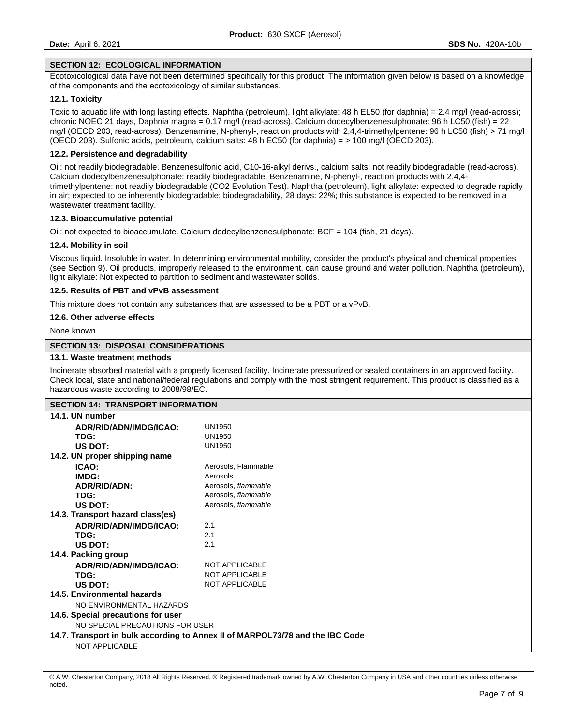#### **SECTION 12: ECOLOGICAL INFORMATION**

Ecotoxicological data have not been determined specifically for this product. The information given below is based on a knowledge of the components and the ecotoxicology of similar substances.

## **12.1. Toxicity**

Toxic to aquatic life with long lasting effects. Naphtha (petroleum), light alkylate: 48 h EL50 (for daphnia) = 2.4 mg/l (read-across); chronic NOEC 21 days, Daphnia magna = 0.17 mg/l (read-across). Calcium dodecylbenzenesulphonate: 96 h LC50 (fish) = 22 mg/l (OECD 203, read-across). Benzenamine, N-phenyl-, reaction products with 2,4,4-trimethylpentene: 96 h LC50 (fish) > 71 mg/l (OECD 203). Sulfonic acids, petroleum, calcium salts: 48 h EC50 (for daphnia) = > 100 mg/l (OECD 203).

# **12.2. Persistence and degradability**

Oil: not readily biodegradable. Benzenesulfonic acid, C10-16-alkyl derivs., calcium salts: not readily biodegradable (read-across). Calcium dodecylbenzenesulphonate: readily biodegradable. Benzenamine, N-phenyl-, reaction products with 2,4,4 trimethylpentene: not readily biodegradable (CO2 Evolution Test). Naphtha (petroleum), light alkylate: expected to degrade rapidly in air; expected to be inherently biodegradable; biodegradability, 28 days: 22%; this substance is expected to be removed in a wastewater treatment facility.

#### **12.3. Bioaccumulative potential**

Oil: not expected to bioaccumulate. Calcium dodecylbenzenesulphonate: BCF = 104 (fish, 21 days).

## **12.4. Mobility in soil**

Viscous liquid. Insoluble in water. In determining environmental mobility, consider the product's physical and chemical properties (see Section 9). Oil products, improperly released to the environment, can cause ground and water pollution. Naphtha (petroleum), light alkylate: Not expected to partition to sediment and wastewater solids.

## **12.5. Results of PBT and vPvB assessment**

This mixture does not contain any substances that are assessed to be a PBT or a vPvB.

## **12.6. Other adverse effects**

None known

## **SECTION 13: DISPOSAL CONSIDERATIONS**

#### **13.1. Waste treatment methods**

Incinerate absorbed material with a properly licensed facility. Incinerate pressurized or sealed containers in an approved facility. Check local, state and national/federal regulations and comply with the most stringent requirement. This product is classified as a hazardous waste according to 2008/98/EC.

|                                                                               | <b>SECTION 14: TRANSPORT INFORMATION</b> |  |  |  |  |
|-------------------------------------------------------------------------------|------------------------------------------|--|--|--|--|
| 14.1. UN number                                                               |                                          |  |  |  |  |
| ADR/RID/ADN/IMDG/ICAO:                                                        | <b>UN1950</b>                            |  |  |  |  |
| TDG:                                                                          | UN1950                                   |  |  |  |  |
| US DOT:                                                                       | <b>UN1950</b>                            |  |  |  |  |
| 14.2. UN proper shipping name                                                 |                                          |  |  |  |  |
| ICAO:                                                                         | Aerosols, Flammable                      |  |  |  |  |
| IMDG:                                                                         | Aerosols                                 |  |  |  |  |
| <b>ADR/RID/ADN:</b>                                                           | Aerosols, flammable                      |  |  |  |  |
| TDG:                                                                          | Aerosols, flammable                      |  |  |  |  |
| US DOT:                                                                       | Aerosols, flammable                      |  |  |  |  |
| 14.3. Transport hazard class(es)                                              |                                          |  |  |  |  |
| ADR/RID/ADN/IMDG/ICAO:                                                        | 2.1                                      |  |  |  |  |
| TDG:                                                                          | 2.1                                      |  |  |  |  |
| US DOT:                                                                       | 2.1                                      |  |  |  |  |
| 14.4. Packing group                                                           |                                          |  |  |  |  |
| ADR/RID/ADN/IMDG/ICAO:                                                        | <b>NOT APPLICABLE</b>                    |  |  |  |  |
| TDG:                                                                          | <b>NOT APPLICABLE</b>                    |  |  |  |  |
| US DOT:                                                                       | <b>NOT APPLICABLE</b>                    |  |  |  |  |
| 14.5. Environmental hazards                                                   |                                          |  |  |  |  |
| NO ENVIRONMENTAL HAZARDS                                                      |                                          |  |  |  |  |
| 14.6. Special precautions for user                                            |                                          |  |  |  |  |
| NO SPECIAL PRECAUTIONS FOR USER                                               |                                          |  |  |  |  |
| 14.7. Transport in bulk according to Annex II of MARPOL73/78 and the IBC Code |                                          |  |  |  |  |
| <b>NOT APPLICABLE</b>                                                         |                                          |  |  |  |  |
|                                                                               |                                          |  |  |  |  |

<sup>©</sup> A.W. Chesterton Company, 2018 All Rights Reserved. ® Registered trademark owned by A.W. Chesterton Company in USA and other countries unless otherwise noted.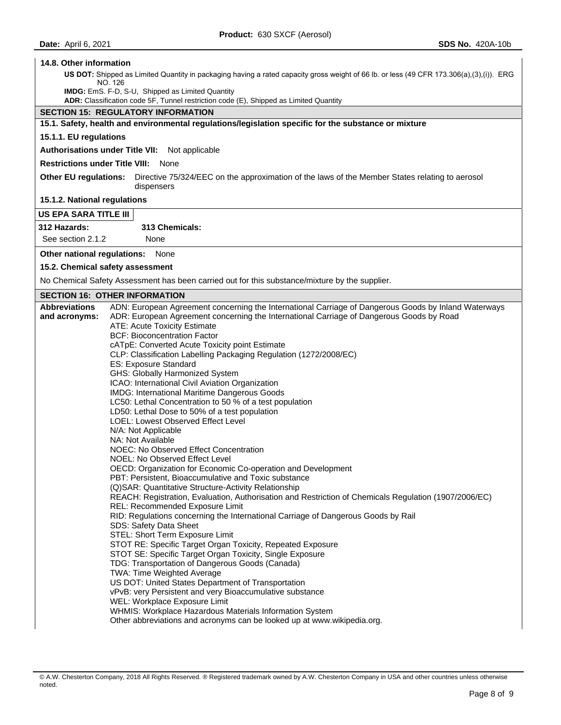# **14.8. Other information**

**US DOT:** Shipped as Limited Quantity in packaging having a rated capacity gross weight of 66 lb. or less (49 CFR 173.306(a),(3),(i)). ERG NO. 126

**IMDG:** EmS. F-D, S-U, Shipped as Limited Quantity

**ADR:** Classification code 5F, Tunnel restriction code (E), Shipped as Limited Quantity

# **SECTION 15: REGULATORY INFORMATION**

**15.1. Safety, health and environmental regulations/legislation specific for the substance or mixture** 

# **15.1.1. EU regulations**

**Authorisations under Title VII:** Not applicable

**Restrictions under Title VIII:** None

**Other EU regulations:** Directive 75/324/EEC on the approximation of the laws of the Member States relating to aerosol dispensers

**15.1.2. National regulations** 

#### **US EPA SARA TITLE III**

**312 Hazards: 313 Chemicals:** 

See section 2.1.2 None

**Other national regulations:** None

**15.2. Chemical safety assessment** 

No Chemical Safety Assessment has been carried out for this substance/mixture by the supplier.

# **SECTION 16: OTHER INFORMATION**

| <b>Abbreviations</b>                                | ADN: European Agreement concerning the International Carriage of Dangerous Goods by Inland Waterways  |  |
|-----------------------------------------------------|-------------------------------------------------------------------------------------------------------|--|
| and acronyms:                                       | ADR: European Agreement concerning the International Carriage of Dangerous Goods by Road              |  |
|                                                     | ATE: Acute Toxicity Estimate                                                                          |  |
|                                                     | <b>BCF: Bioconcentration Factor</b>                                                                   |  |
|                                                     | cATpE: Converted Acute Toxicity point Estimate                                                        |  |
|                                                     | CLP: Classification Labelling Packaging Regulation (1272/2008/EC)                                     |  |
|                                                     | <b>ES: Exposure Standard</b>                                                                          |  |
|                                                     | GHS: Globally Harmonized System                                                                       |  |
|                                                     | ICAO: International Civil Aviation Organization                                                       |  |
| <b>IMDG: International Maritime Dangerous Goods</b> |                                                                                                       |  |
|                                                     | LC50: Lethal Concentration to 50 % of a test population                                               |  |
|                                                     | LD50: Lethal Dose to 50% of a test population                                                         |  |
|                                                     | <b>LOEL: Lowest Observed Effect Level</b>                                                             |  |
|                                                     | N/A: Not Applicable                                                                                   |  |
|                                                     | NA: Not Available                                                                                     |  |
|                                                     | NOEC: No Observed Effect Concentration                                                                |  |
|                                                     | NOEL: No Observed Effect Level                                                                        |  |
|                                                     | OECD: Organization for Economic Co-operation and Development                                          |  |
|                                                     | PBT: Persistent, Bioaccumulative and Toxic substance                                                  |  |
|                                                     | (Q) SAR: Quantitative Structure-Activity Relationship                                                 |  |
|                                                     | REACH: Registration, Evaluation, Authorisation and Restriction of Chemicals Regulation (1907/2006/EC) |  |
|                                                     | REL: Recommended Exposure Limit                                                                       |  |
|                                                     | RID: Regulations concerning the International Carriage of Dangerous Goods by Rail                     |  |
|                                                     | SDS: Safety Data Sheet                                                                                |  |
|                                                     | STEL: Short Term Exposure Limit                                                                       |  |
|                                                     | STOT RE: Specific Target Organ Toxicity, Repeated Exposure                                            |  |
|                                                     | STOT SE: Specific Target Organ Toxicity, Single Exposure                                              |  |
|                                                     | TDG: Transportation of Dangerous Goods (Canada)                                                       |  |
|                                                     | TWA: Time Weighted Average                                                                            |  |
|                                                     | US DOT: United States Department of Transportation                                                    |  |
|                                                     | vPvB: very Persistent and very Bioaccumulative substance                                              |  |
|                                                     | WEL: Workplace Exposure Limit                                                                         |  |
|                                                     | WHMIS: Workplace Hazardous Materials Information System                                               |  |
|                                                     | Other abbreviations and acronyms can be looked up at www.wikipedia.org.                               |  |

<sup>©</sup> A.W. Chesterton Company, 2018 All Rights Reserved. ® Registered trademark owned by A.W. Chesterton Company in USA and other countries unless otherwise noted.